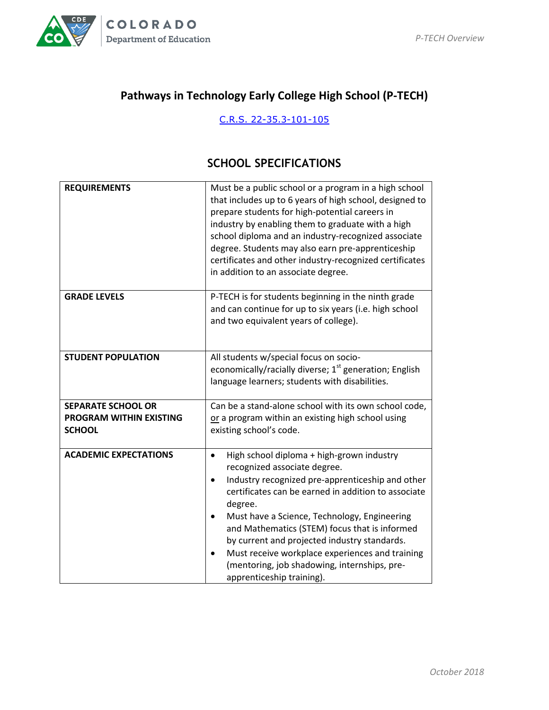

# **Pathways in Technology Early College High School (P-TECH)**

#### [C.R.S. 22-35.3-101-105](https://www.lexisnexis.com/hottopics/colorado/?source=COLO;CODE&tocpath=1S1KUZJO2YQDT8ADV,2FJWK1OAI08A5TS8Y,3NFHMKJSATPOM5AHP;1C9RCBSGO1USS8IRN,2PROIEYQMCX93FJG4,3M8USO6H09SCDQM9M;1BPIH6YIBEASD5MVF,25R5MU8I0YR9G1Y5Q,3JQ8K6ME5L8W7VQAT&shortheader=no)

#### **SCHOOL SPECIFICATIONS**

| <b>REQUIREMENTS</b>                                                          | Must be a public school or a program in a high school<br>that includes up to 6 years of high school, designed to<br>prepare students for high-potential careers in<br>industry by enabling them to graduate with a high<br>school diploma and an industry-recognized associate<br>degree. Students may also earn pre-apprenticeship<br>certificates and other industry-recognized certificates<br>in addition to an associate degree.                                                         |
|------------------------------------------------------------------------------|-----------------------------------------------------------------------------------------------------------------------------------------------------------------------------------------------------------------------------------------------------------------------------------------------------------------------------------------------------------------------------------------------------------------------------------------------------------------------------------------------|
| <b>GRADE LEVELS</b>                                                          | P-TECH is for students beginning in the ninth grade<br>and can continue for up to six years (i.e. high school<br>and two equivalent years of college).                                                                                                                                                                                                                                                                                                                                        |
| <b>STUDENT POPULATION</b>                                                    | All students w/special focus on socio-<br>economically/racially diverse; 1 <sup>st</sup> generation; English<br>language learners; students with disabilities.                                                                                                                                                                                                                                                                                                                                |
| <b>SEPARATE SCHOOL OR</b><br><b>PROGRAM WITHIN EXISTING</b><br><b>SCHOOL</b> | Can be a stand-alone school with its own school code,<br>or a program within an existing high school using<br>existing school's code.                                                                                                                                                                                                                                                                                                                                                         |
| <b>ACADEMIC EXPECTATIONS</b>                                                 | High school diploma + high-grown industry<br>recognized associate degree.<br>Industry recognized pre-apprenticeship and other<br>$\bullet$<br>certificates can be earned in addition to associate<br>degree.<br>Must have a Science, Technology, Engineering<br>and Mathematics (STEM) focus that is informed<br>by current and projected industry standards.<br>Must receive workplace experiences and training<br>(mentoring, job shadowing, internships, pre-<br>apprenticeship training). |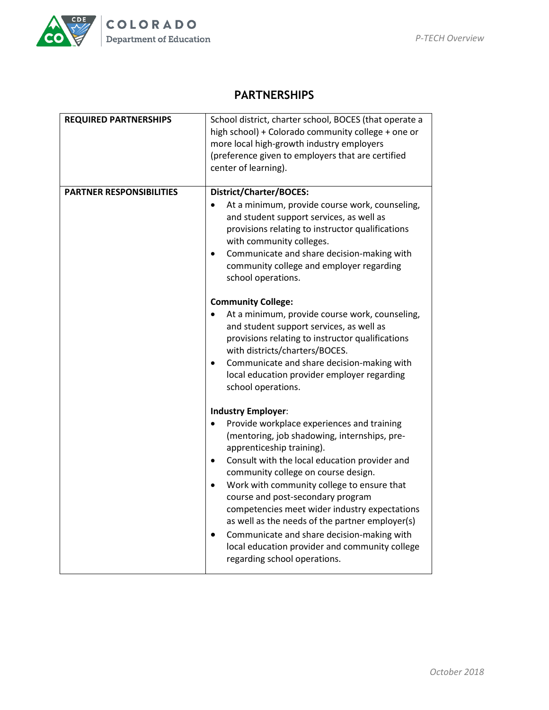

# **PARTNERSHIPS**

| <b>REQUIRED PARTNERSHIPS</b>    | School district, charter school, BOCES (that operate a<br>high school) + Colorado community college + one or<br>more local high-growth industry employers<br>(preference given to employers that are certified<br>center of learning). |
|---------------------------------|----------------------------------------------------------------------------------------------------------------------------------------------------------------------------------------------------------------------------------------|
| <b>PARTNER RESPONSIBILITIES</b> | District/Charter/BOCES:<br>At a minimum, provide course work, counseling,                                                                                                                                                              |
|                                 | and student support services, as well as<br>provisions relating to instructor qualifications<br>with community colleges.                                                                                                               |
|                                 | Communicate and share decision-making with<br>$\bullet$<br>community college and employer regarding<br>school operations.                                                                                                              |
|                                 | <b>Community College:</b>                                                                                                                                                                                                              |
|                                 | At a minimum, provide course work, counseling,<br>and student support services, as well as<br>provisions relating to instructor qualifications<br>with districts/charters/BOCES.                                                       |
|                                 | Communicate and share decision-making with<br>local education provider employer regarding<br>school operations.                                                                                                                        |
|                                 | <b>Industry Employer:</b>                                                                                                                                                                                                              |
|                                 | Provide workplace experiences and training<br>(mentoring, job shadowing, internships, pre-<br>apprenticeship training).                                                                                                                |
|                                 | Consult with the local education provider and<br>$\bullet$<br>community college on course design.                                                                                                                                      |
|                                 | Work with community college to ensure that<br>$\bullet$<br>course and post-secondary program<br>competencies meet wider industry expectations<br>as well as the needs of the partner employer(s)                                       |
|                                 | Communicate and share decision-making with<br>local education provider and community college<br>regarding school operations.                                                                                                           |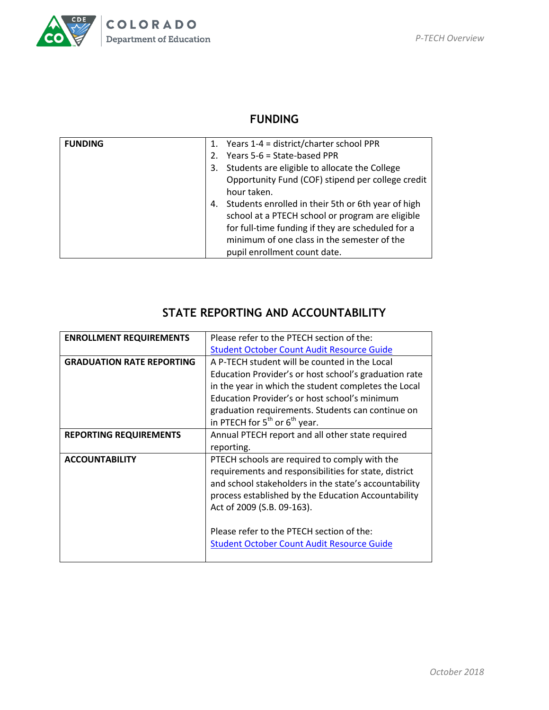

# **FUNDING**

| <b>FUNDING</b> |             | 1. Years 1-4 = district/charter school PPR            |
|----------------|-------------|-------------------------------------------------------|
|                | $2^{\circ}$ | Years 5-6 = State-based PPR                           |
|                | 3.          | Students are eligible to allocate the College         |
|                |             | Opportunity Fund (COF) stipend per college credit     |
|                |             | hour taken.                                           |
|                |             | 4. Students enrolled in their 5th or 6th year of high |
|                |             | school at a PTECH school or program are eligible      |
|                |             | for full-time funding if they are scheduled for a     |
|                |             | minimum of one class in the semester of the           |
|                |             | pupil enrollment count date.                          |

# **STATE REPORTING AND ACCOUNTABILITY**

| <b>ENROLLMENT REQUIREMENTS</b>   | Please refer to the PTECH section of the:             |
|----------------------------------|-------------------------------------------------------|
|                                  | <b>Student October Count Audit Resource Guide</b>     |
| <b>GRADUATION RATE REPORTING</b> | A P-TECH student will be counted in the Local         |
|                                  | Education Provider's or host school's graduation rate |
|                                  | in the year in which the student completes the Local  |
|                                  | Education Provider's or host school's minimum         |
|                                  | graduation requirements. Students can continue on     |
|                                  | in PTECH for $5^{th}$ or $6^{th}$ year.               |
| <b>REPORTING REQUIREMENTS</b>    | Annual PTECH report and all other state required      |
|                                  | reporting.                                            |
| <b>ACCOUNTABILITY</b>            | PTECH schools are required to comply with the         |
|                                  | requirements and responsibilities for state, district |
|                                  | and school stakeholders in the state's accountability |
|                                  | process established by the Education Accountability   |
|                                  | Act of 2009 (S.B. 09-163).                            |
|                                  |                                                       |
|                                  | Please refer to the PTECH section of the:             |
|                                  | <b>Student October Count Audit Resource Guide</b>     |
|                                  |                                                       |